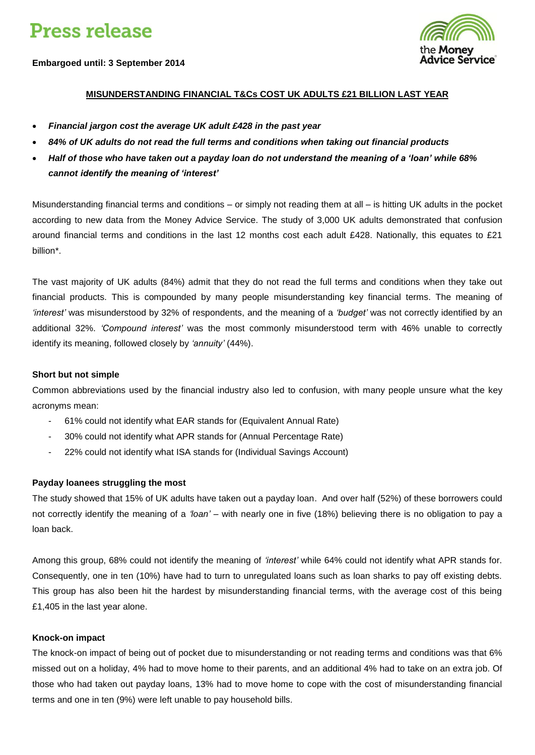# **Press release**

**Embargoed until: 3 September 2014**



# **MISUNDERSTANDING FINANCIAL T&Cs COST UK ADULTS £21 BILLION LAST YEAR**

- *Financial jargon cost the average UK adult £428 in the past year*
- *84% of UK adults do not read the full terms and conditions when taking out financial products*
- *Half of those who have taken out a payday loan do not understand the meaning of a 'loan' while 68% cannot identify the meaning of 'interest'*

Misunderstanding financial terms and conditions – or simply not reading them at all – is hitting UK adults in the pocket according to new data from the Money Advice Service. The study of 3,000 UK adults demonstrated that confusion around financial terms and conditions in the last 12 months cost each adult £428. Nationally, this equates to £21 billion\*.

The vast majority of UK adults (84%) admit that they do not read the full terms and conditions when they take out financial products. This is compounded by many people misunderstanding key financial terms. The meaning of *'interest'* was misunderstood by 32% of respondents, and the meaning of a *'budget'* was not correctly identified by an additional 32%. *'Compound interest'* was the most commonly misunderstood term with 46% unable to correctly identify its meaning, followed closely by *'annuity'* (44%).

#### **Short but not simple**

Common abbreviations used by the financial industry also led to confusion, with many people unsure what the key acronyms mean:

- 61% could not identify what EAR stands for (Equivalent Annual Rate)
- 30% could not identify what APR stands for (Annual Percentage Rate)
- 22% could not identify what ISA stands for (Individual Savings Account)

#### **Payday loanees struggling the most**

The study showed that 15% of UK adults have taken out a payday loan. And over half (52%) of these borrowers could not correctly identify the meaning of a *'loan'* – with nearly one in five (18%) believing there is no obligation to pay a loan back.

Among this group, 68% could not identify the meaning of *'interest'* while 64% could not identify what APR stands for. Consequently, one in ten (10%) have had to turn to unregulated loans such as loan sharks to pay off existing debts. This group has also been hit the hardest by misunderstanding financial terms, with the average cost of this being £1,405 in the last year alone.

#### **Knock-on impact**

The knock-on impact of being out of pocket due to misunderstanding or not reading terms and conditions was that 6% missed out on a holiday, 4% had to move home to their parents, and an additional 4% had to take on an extra job. Of those who had taken out payday loans, 13% had to move home to cope with the cost of misunderstanding financial terms and one in ten (9%) were left unable to pay household bills.